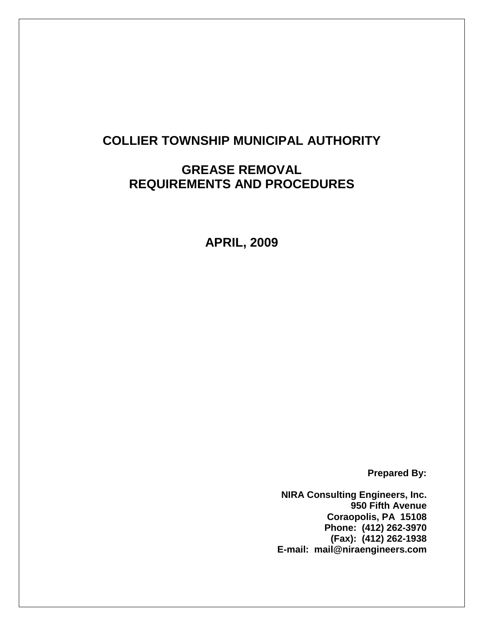# **COLLIER TOWNSHIP MUNICIPAL AUTHORITY**

# **GREASE REMOVAL REQUIREMENTS AND PROCEDURES**

**APRIL, 2009**

**Prepared By:**

**NIRA Consulting Engineers, Inc. 950 Fifth Avenue Coraopolis, PA 15108 Phone: (412) 262-3970 (Fax): (412) 262-1938 E-mail: mail@niraengineers.com**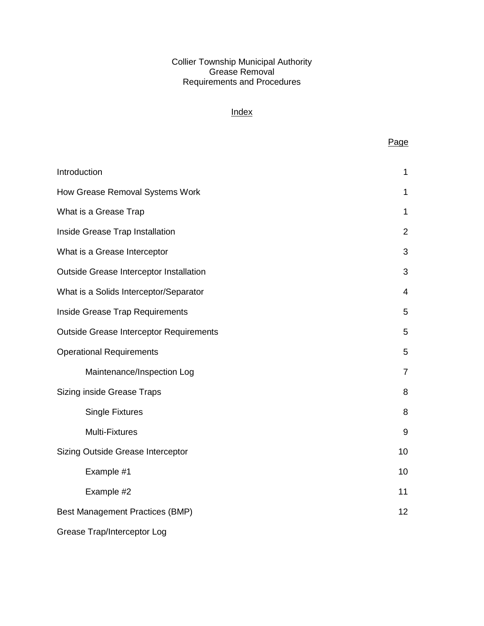#### Collier Township Municipal Authority Grease Removal Requirements and Procedures

# **Index**

Page

| Introduction                                   | $\mathbf{1}$   |
|------------------------------------------------|----------------|
| How Grease Removal Systems Work                | 1              |
| What is a Grease Trap                          | 1              |
| Inside Grease Trap Installation                | $\overline{2}$ |
| What is a Grease Interceptor                   | 3              |
| Outside Grease Interceptor Installation        | 3              |
| What is a Solids Interceptor/Separator         | 4              |
| Inside Grease Trap Requirements                | 5              |
| <b>Outside Grease Interceptor Requirements</b> | 5              |
| <b>Operational Requirements</b>                | 5              |
| Maintenance/Inspection Log                     | $\overline{7}$ |
| Sizing inside Grease Traps                     | 8              |
| <b>Single Fixtures</b>                         | 8              |
| <b>Multi-Fixtures</b>                          | 9              |
| Sizing Outside Grease Interceptor              | 10             |
| Example #1                                     | 10             |
| Example #2                                     | 11             |
| <b>Best Management Practices (BMP)</b>         | 12             |
| Grease Trap/Interceptor Log                    |                |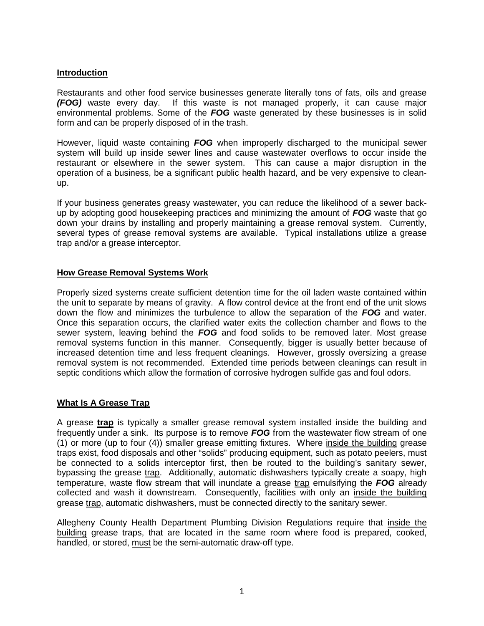## **Introduction**

Restaurants and other food service businesses generate literally tons of fats, oils and grease *(FOG)* waste every day. If this waste is not managed properly, it can cause major environmental problems. Some of the *FOG* waste generated by these businesses is in solid form and can be properly disposed of in the trash.

However, liquid waste containing *FOG* when improperly discharged to the municipal sewer system will build up inside sewer lines and cause wastewater overflows to occur inside the restaurant or elsewhere in the sewer system. This can cause a major disruption in the operation of a business, be a significant public health hazard, and be very expensive to cleanup.

If your business generates greasy wastewater, you can reduce the likelihood of a sewer backup by adopting good housekeeping practices and minimizing the amount of *FOG* waste that go down your drains by installing and properly maintaining a grease removal system. Currently, several types of grease removal systems are available. Typical installations utilize a grease trap and/or a grease interceptor.

### **How Grease Removal Systems Work**

Properly sized systems create sufficient detention time for the oil laden waste contained within the unit to separate by means of gravity. A flow control device at the front end of the unit slows down the flow and minimizes the turbulence to allow the separation of the *FOG* and water. Once this separation occurs, the clarified water exits the collection chamber and flows to the sewer system, leaving behind the *FOG* and food solids to be removed later. Most grease removal systems function in this manner. Consequently, bigger is usually better because of increased detention time and less frequent cleanings. However, grossly oversizing a grease removal system is not recommended. Extended time periods between cleanings can result in septic conditions which allow the formation of corrosive hydrogen sulfide gas and foul odors.

#### **What Is A Grease Trap**

A grease **trap** is typically a smaller grease removal system installed inside the building and frequently under a sink. Its purpose is to remove *FOG* from the wastewater flow stream of one (1) or more (up to four (4)) smaller grease emitting fixtures. Where inside the building grease traps exist, food disposals and other "solids" producing equipment, such as potato peelers, must be connected to a solids interceptor first, then be routed to the building's sanitary sewer, bypassing the grease trap. Additionally, automatic dishwashers typically create a soapy, high temperature, waste flow stream that will inundate a grease trap emulsifying the *FOG* already collected and wash it downstream. Consequently, facilities with only an inside the building grease trap, automatic dishwashers, must be connected directly to the sanitary sewer.

Allegheny County Health Department Plumbing Division Regulations require that inside the building grease traps, that are located in the same room where food is prepared, cooked, handled, or stored, must be the semi-automatic draw-off type.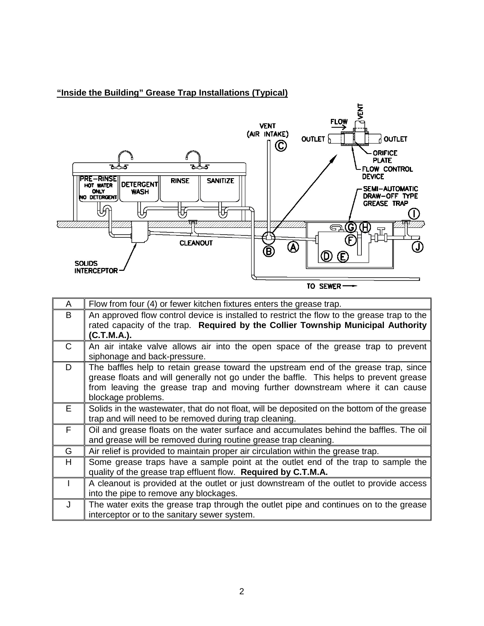

# **"Inside the Building" Grease Trap Installations (Typical)**

TO SEWER-

| A            | Flow from four (4) or fewer kitchen fixtures enters the grease trap.                                                                                                                                                                                                                 |
|--------------|--------------------------------------------------------------------------------------------------------------------------------------------------------------------------------------------------------------------------------------------------------------------------------------|
| B            | An approved flow control device is installed to restrict the flow to the grease trap to the<br>rated capacity of the trap. Required by the Collier Township Municipal Authority<br>(C.T.M.A.).                                                                                       |
| $\mathsf{C}$ | An air intake valve allows air into the open space of the grease trap to prevent<br>siphonage and back-pressure.                                                                                                                                                                     |
| D            | The baffles help to retain grease toward the upstream end of the grease trap, since<br>grease floats and will generally not go under the baffle. This helps to prevent grease<br>from leaving the grease trap and moving further downstream where it can cause<br>blockage problems. |
| E            | Solids in the wastewater, that do not float, will be deposited on the bottom of the grease<br>trap and will need to be removed during trap cleaning.                                                                                                                                 |
| F            | Oil and grease floats on the water surface and accumulates behind the baffles. The oil<br>and grease will be removed during routine grease trap cleaning.                                                                                                                            |
| G            | Air relief is provided to maintain proper air circulation within the grease trap.                                                                                                                                                                                                    |
| H            | Some grease traps have a sample point at the outlet end of the trap to sample the<br>quality of the grease trap effluent flow. Required by C.T.M.A.                                                                                                                                  |
|              | A cleanout is provided at the outlet or just downstream of the outlet to provide access<br>into the pipe to remove any blockages.                                                                                                                                                    |
| J            | The water exits the grease trap through the outlet pipe and continues on to the grease<br>interceptor or to the sanitary sewer system.                                                                                                                                               |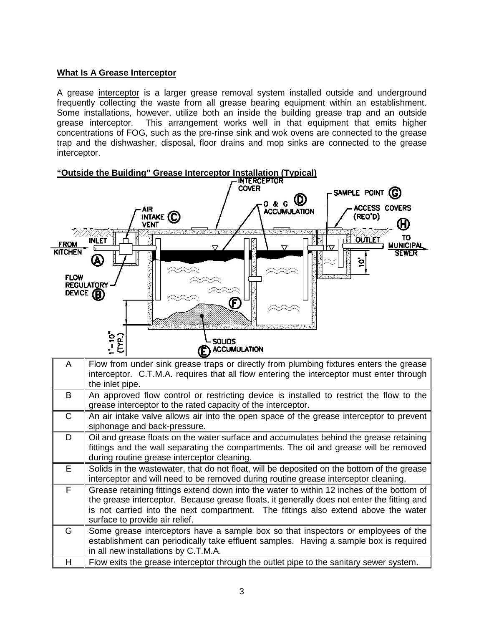## **What Is A Grease Interceptor**

A grease interceptor is a larger grease removal system installed outside and underground frequently collecting the waste from all grease bearing equipment within an establishment. Some installations, however, utilize both an inside the building grease trap and an outside grease interceptor. This arrangement works well in that equipment that emits higher This arrangement works well in that equipment that emits higher concentrations of FOG, such as the pre-rinse sink and wok ovens are connected to the grease trap and the dishwasher, disposal, floor drains and mop sinks are connected to the grease interceptor.



| A            | Flow from under sink grease traps or directly from plumbing fixtures enters the grease<br>interceptor. C.T.M.A. requires that all flow entering the interceptor must enter through<br>the inlet pipe.                                                                                                           |
|--------------|-----------------------------------------------------------------------------------------------------------------------------------------------------------------------------------------------------------------------------------------------------------------------------------------------------------------|
| B            | An approved flow control or restricting device is installed to restrict the flow to the<br>grease interceptor to the rated capacity of the interceptor.                                                                                                                                                         |
| $\mathsf{C}$ | An air intake valve allows air into the open space of the grease interceptor to prevent<br>siphonage and back-pressure.                                                                                                                                                                                         |
| D            | Oil and grease floats on the water surface and accumulates behind the grease retaining<br>fittings and the wall separating the compartments. The oil and grease will be removed<br>during routine grease interceptor cleaning.                                                                                  |
| E.           | Solids in the wastewater, that do not float, will be deposited on the bottom of the grease<br>interceptor and will need to be removed during routine grease interceptor cleaning.                                                                                                                               |
| F            | Grease retaining fittings extend down into the water to within 12 inches of the bottom of<br>the grease interceptor. Because grease floats, it generally does not enter the fitting and<br>is not carried into the next compartment. The fittings also extend above the water<br>surface to provide air relief. |
| G            | Some grease interceptors have a sample box so that inspectors or employees of the<br>establishment can periodically take effluent samples. Having a sample box is required<br>in all new installations by C.T.M.A.                                                                                              |
| н            | Flow exits the grease interceptor through the outlet pipe to the sanitary sewer system.                                                                                                                                                                                                                         |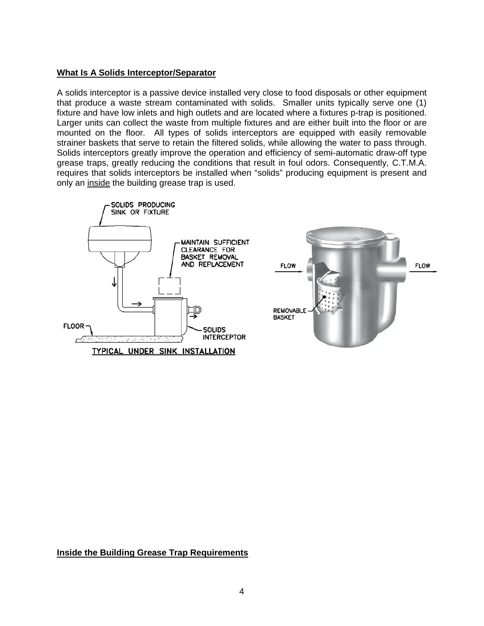#### **What Is A Solids Interceptor/Separator**

A solids interceptor is a passive device installed very close to food disposals or other equipment that produce a waste stream contaminated with solids. Smaller units typically serve one (1) fixture and have low inlets and high outlets and are located where a fixtures p-trap is positioned. Larger units can collect the waste from multiple fixtures and are either built into the floor or are mounted on the floor. All types of solids interceptors are equipped with easily removable strainer baskets that serve to retain the filtered solids, while allowing the water to pass through. Solids interceptors greatly improve the operation and efficiency of semi-automatic draw-off type grease traps, greatly reducing the conditions that result in foul odors. Consequently, C.T.M.A. requires that solids interceptors be installed when "solids" producing equipment is present and only an inside the building grease trap is used.



#### **Inside the Building Grease Trap Requirements**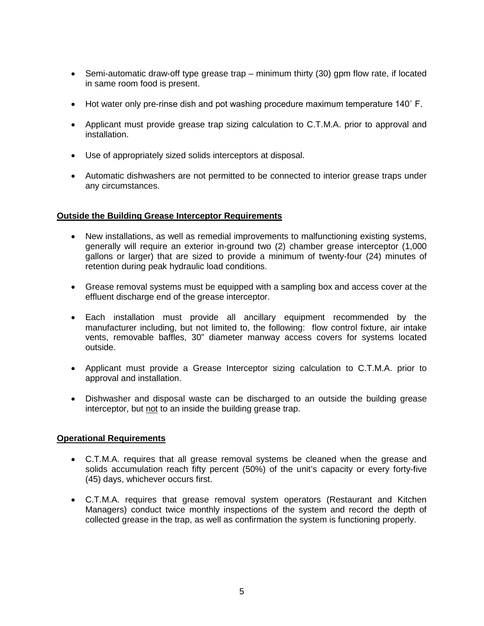- Semi-automatic draw-off type grease trap minimum thirty (30) gpm flow rate, if located in same room food is present.
- Hot water only pre-rinse dish and pot washing procedure maximum temperature 140° F.
- Applicant must provide grease trap sizing calculation to C.T.M.A. prior to approval and installation.
- Use of appropriately sized solids interceptors at disposal.
- Automatic dishwashers are not permitted to be connected to interior grease traps under any circumstances.

### **Outside the Building Grease Interceptor Requirements**

- New installations, as well as remedial improvements to malfunctioning existing systems, generally will require an exterior in-ground two (2) chamber grease interceptor (1,000 gallons or larger) that are sized to provide a minimum of twenty-four (24) minutes of retention during peak hydraulic load conditions.
- Grease removal systems must be equipped with a sampling box and access cover at the effluent discharge end of the grease interceptor.
- Each installation must provide all ancillary equipment recommended by the manufacturer including, but not limited to, the following: flow control fixture, air intake vents, removable baffles, 30" diameter manway access covers for systems located outside.
- Applicant must provide a Grease Interceptor sizing calculation to C.T.M.A. prior to approval and installation.
- Dishwasher and disposal waste can be discharged to an outside the building grease interceptor, but not to an inside the building grease trap.

#### **Operational Requirements**

- C.T.M.A. requires that all grease removal systems be cleaned when the grease and solids accumulation reach fifty percent (50%) of the unit's capacity or every forty-five (45) days, whichever occurs first.
- C.T.M.A. requires that grease removal system operators (Restaurant and Kitchen Managers) conduct twice monthly inspections of the system and record the depth of collected grease in the trap, as well as confirmation the system is functioning properly.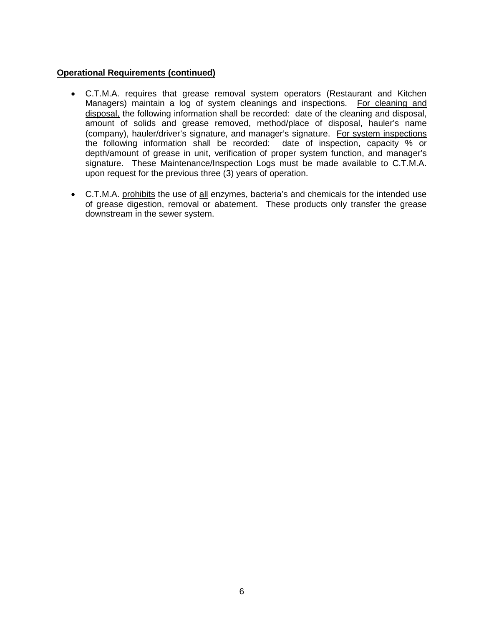### **Operational Requirements (continued)**

- C.T.M.A. requires that grease removal system operators (Restaurant and Kitchen Managers) maintain a log of system cleanings and inspections. For cleaning and disposal, the following information shall be recorded: date of the cleaning and disposal, amount of solids and grease removed, method/place of disposal, hauler's name (company), hauler/driver's signature, and manager's signature. For system inspections the following information shall be recorded: date of inspection, capacity % or depth/amount of grease in unit, verification of proper system function, and manager's signature. These Maintenance/Inspection Logs must be made available to C.T.M.A. upon request for the previous three (3) years of operation.
- C.T.M.A. prohibits the use of all enzymes, bacteria's and chemicals for the intended use of grease digestion, removal or abatement. These products only transfer the grease downstream in the sewer system.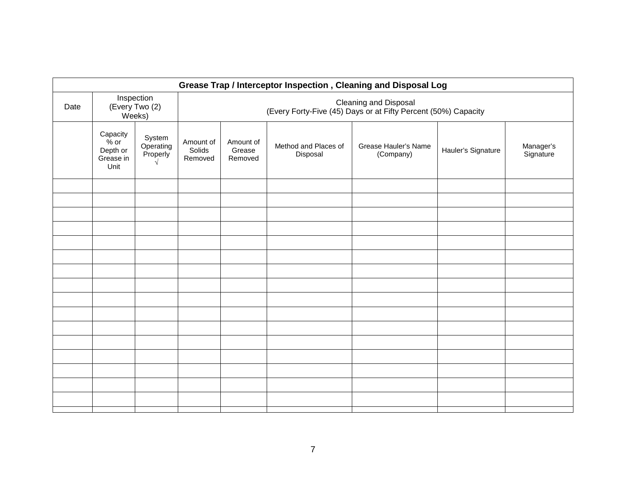| Grease Trap / Interceptor Inspection, Cleaning and Disposal Log |                                                     |                                        |                                                                                         |                                |                                  |                                   |                    |                        |
|-----------------------------------------------------------------|-----------------------------------------------------|----------------------------------------|-----------------------------------------------------------------------------------------|--------------------------------|----------------------------------|-----------------------------------|--------------------|------------------------|
| Date                                                            |                                                     | Inspection<br>(Every Two (2)<br>Weeks) | Cleaning and Disposal<br>(Every Forty-Five (45) Days or at Fifty Percent (50%) Capacity |                                |                                  |                                   |                    |                        |
|                                                                 | Capacity<br>$%$ or<br>Depth or<br>Grease in<br>Unit | System<br>Operating<br>Properly        | Amount of<br>Solids<br>Removed                                                          | Amount of<br>Grease<br>Removed | Method and Places of<br>Disposal | Grease Hauler's Name<br>(Company) | Hauler's Signature | Manager's<br>Signature |
|                                                                 |                                                     |                                        |                                                                                         |                                |                                  |                                   |                    |                        |
|                                                                 |                                                     |                                        |                                                                                         |                                |                                  |                                   |                    |                        |
|                                                                 |                                                     |                                        |                                                                                         |                                |                                  |                                   |                    |                        |
|                                                                 |                                                     |                                        |                                                                                         |                                |                                  |                                   |                    |                        |
|                                                                 |                                                     |                                        |                                                                                         |                                |                                  |                                   |                    |                        |
|                                                                 |                                                     |                                        |                                                                                         |                                |                                  |                                   |                    |                        |
|                                                                 |                                                     |                                        |                                                                                         |                                |                                  |                                   |                    |                        |
|                                                                 |                                                     |                                        |                                                                                         |                                |                                  |                                   |                    |                        |
|                                                                 |                                                     |                                        |                                                                                         |                                |                                  |                                   |                    |                        |
|                                                                 |                                                     |                                        |                                                                                         |                                |                                  |                                   |                    |                        |
|                                                                 |                                                     |                                        |                                                                                         |                                |                                  |                                   |                    |                        |
|                                                                 |                                                     |                                        |                                                                                         |                                |                                  |                                   |                    |                        |
|                                                                 |                                                     |                                        |                                                                                         |                                |                                  |                                   |                    |                        |
|                                                                 |                                                     |                                        |                                                                                         |                                |                                  |                                   |                    |                        |
|                                                                 |                                                     |                                        |                                                                                         |                                |                                  |                                   |                    |                        |
|                                                                 |                                                     |                                        |                                                                                         |                                |                                  |                                   |                    |                        |
|                                                                 |                                                     |                                        |                                                                                         |                                |                                  |                                   |                    |                        |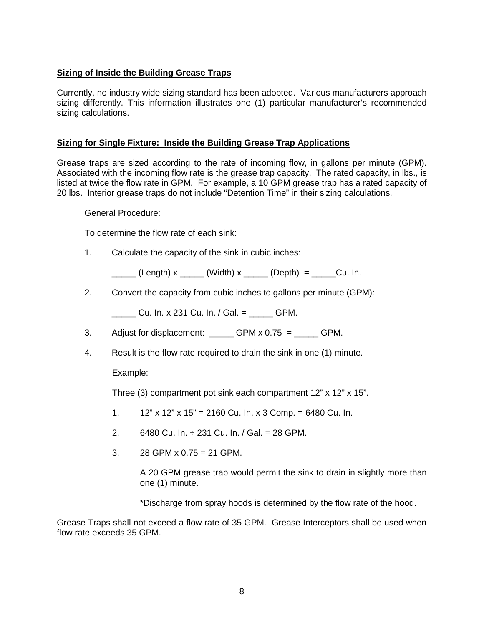# **Sizing of Inside the Building Grease Traps**

Currently, no industry wide sizing standard has been adopted. Various manufacturers approach sizing differently. This information illustrates one (1) particular manufacturer's recommended sizing calculations.

## **Sizing for Single Fixture: Inside the Building Grease Trap Applications**

Grease traps are sized according to the rate of incoming flow, in gallons per minute (GPM). Associated with the incoming flow rate is the grease trap capacity. The rated capacity, in lbs., is listed at twice the flow rate in GPM. For example, a 10 GPM grease trap has a rated capacity of 20 lbs. Interior grease traps do not include "Detention Time" in their sizing calculations.

#### General Procedure:

To determine the flow rate of each sink:

1. Calculate the capacity of the sink in cubic inches:

 $(L$ ength) x  $(Width)$  x  $(D$ epth) =  $Cu$ . In.

2. Convert the capacity from cubic inches to gallons per minute (GPM):

Cu. In. x 231 Cu. In. / Gal.  $=$  GPM.

- 3. Adjust for displacement:  $GPM \times 0.75 =$  GPM.
- 4. Result is the flow rate required to drain the sink in one (1) minute.

## Example:

Three (3) compartment pot sink each compartment 12" x 12" x 15".

- 1.  $12"$  x 12" x 15" = 2160 Cu. In. x 3 Comp. = 6480 Cu. In.
- 2. 6480 Cu. In.  $\div$  231 Cu. In. / Gal. = 28 GPM.
- 3.  $28$  GPM x 0.75 = 21 GPM.

A 20 GPM grease trap would permit the sink to drain in slightly more than one (1) minute.

\*Discharge from spray hoods is determined by the flow rate of the hood.

Grease Traps shall not exceed a flow rate of 35 GPM. Grease Interceptors shall be used when flow rate exceeds 35 GPM.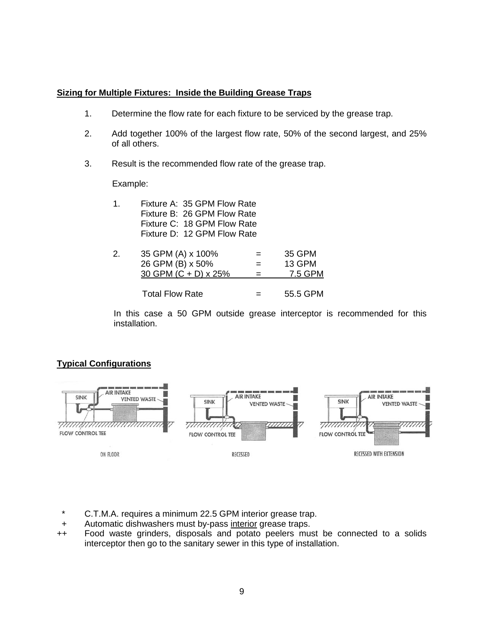# **Sizing for Multiple Fixtures: Inside the Building Grease Traps**

- 1. Determine the flow rate for each fixture to be serviced by the grease trap.
- 2. Add together 100% of the largest flow rate, 50% of the second largest, and 25% of all others.
- 3. Result is the recommended flow rate of the grease trap.

### Example:

| 1. | Fixture A: 35 GPM Flow Rate |     |         |
|----|-----------------------------|-----|---------|
|    | Fixture B: 26 GPM Flow Rate |     |         |
|    | Fixture C: 18 GPM Flow Rate |     |         |
|    | Fixture D: 12 GPM Flow Rate |     |         |
| 2. | 35 GPM (A) x 100%           | $=$ | 35 GPM  |
|    | 26 GPM (B) x 50%            | $=$ | 13 GPM  |
|    | 30 GPM (C + D) x 25%        |     | 7.5 GPM |
|    |                             |     |         |

Total Flow Rate  $=$  55.5 GPM

In this case a 50 GPM outside grease interceptor is recommended for this installation.

# **Typical Configurations**



- C.T.M.A. requires a minimum 22.5 GPM interior grease trap.
- + Automatic dishwashers must by-pass interior grease traps.
- ++ Food waste grinders, disposals and potato peelers must be connected to a solids interceptor then go to the sanitary sewer in this type of installation.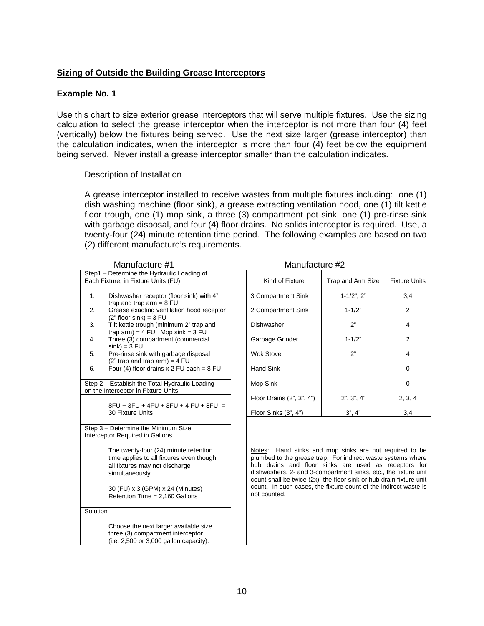## **Sizing of Outside the Building Grease Interceptors**

### **Example No. 1**

Use this chart to size exterior grease interceptors that will serve multiple fixtures. Use the sizing calculation to select the grease interceptor when the interceptor is not more than four (4) feet (vertically) below the fixtures being served. Use the next size larger (grease interceptor) than the calculation indicates, when the interceptor is more than four (4) feet below the equipment being served. Never install a grease interceptor smaller than the calculation indicates.

#### Description of Installation

A grease interceptor installed to receive wastes from multiple fixtures including: one (1) dish washing machine (floor sink), a grease extracting ventilation hood, one (1) tilt kettle floor trough, one (1) mop sink, a three (3) compartment pot sink, one (1) pre-rinse sink with garbage disposal, and four (4) floor drains. No solids interceptor is required. Use, a twenty-four (24) minute retention time period. The following examples are based on two (2) different manufacture's requirements.

| Manufacture #1                             |                                                                                                                                        |  |  |  |  |  |
|--------------------------------------------|----------------------------------------------------------------------------------------------------------------------------------------|--|--|--|--|--|
| Step1 - Determine the Hydraulic Loading of |                                                                                                                                        |  |  |  |  |  |
| Each Fixture, in Fixture Units (FU)        |                                                                                                                                        |  |  |  |  |  |
| 1.                                         | Dishwasher receptor (floor sink) with 4"                                                                                               |  |  |  |  |  |
| 2.                                         | trap and trap $arm = 8$ FU<br>Grease exacting ventilation hood receptor<br>$(2"$ floor sink) = 3 FU                                    |  |  |  |  |  |
| 3.                                         | Tilt kettle trough (minimum 2" trap and<br>trap $arm$ ) = 4 FU. Mop $sink = 3 FU$                                                      |  |  |  |  |  |
| 4.                                         | Three (3) compartment (commercial<br>$sink$ ) = 3 FU                                                                                   |  |  |  |  |  |
| 5.                                         | Pre-rinse sink with garbage disposal<br>$(2"$ trap and trap arm) = 4 FU                                                                |  |  |  |  |  |
| 6.                                         | Four (4) floor drains $x$ 2 FU each = 8 FU                                                                                             |  |  |  |  |  |
|                                            | Step 2 - Establish the Total Hydraulic Loading<br>on the Interceptor in Fixture Units                                                  |  |  |  |  |  |
|                                            | 8FU + 3FU + 4FU + 3FU + 4 FU + 8FU =<br>30 Fixture Units                                                                               |  |  |  |  |  |
|                                            | Step 3 - Determine the Minimum Size<br>Interceptor Required in Gallons                                                                 |  |  |  |  |  |
|                                            | The twenty-four (24) minute retention<br>time applies to all fixtures even though<br>all fixtures may not discharge<br>simultaneously. |  |  |  |  |  |
|                                            | 30 (FU) x 3 (GPM) x 24 (Minutes)<br>Retention Time = 2,160 Gallons                                                                     |  |  |  |  |  |
| Solution                                   |                                                                                                                                        |  |  |  |  |  |
|                                            | Choose the next larger available size<br>three (3) compartment interceptor<br>(i.e. 2,500 or 3,000 gallon capacity).                   |  |  |  |  |  |

Manufacture #2

| Step1 – Determine the Hydraulic Loading of<br>Each Fixture, in Fixture Units (FU) |                                                                                       | Kind of Fixture           | Trap and Arm Size   | <b>Fixture Units</b> |
|-----------------------------------------------------------------------------------|---------------------------------------------------------------------------------------|---------------------------|---------------------|----------------------|
|                                                                                   |                                                                                       |                           |                     |                      |
| 1.                                                                                | Dishwasher receptor (floor sink) with 4"<br>trap and trap $arm = 8 FU$                | 3 Compartment Sink        | $1 - 1/2$ ", $2$ "  | 3,4                  |
| 2.                                                                                | Grease exacting ventilation hood receptor<br>$(2"$ floor sink) = 3 FU                 | 2 Compartment Sink        | $1 - 1/2"$          | $\mathcal{P}$        |
| 3.                                                                                | Tilt kettle trough (minimum 2" trap and<br>trap $arm$ ) = 4 FU. Mop $sink = 3$ FU     | <b>Dishwasher</b>         | 2"                  | 4                    |
| 4.                                                                                | Three (3) compartment (commercial<br>$sink$ ) = 3 FU                                  | Garbage Grinder           | $1 - 1/2"$          | 2                    |
| 5.                                                                                | Pre-rinse sink with garbage disposal<br>$(2"$ trap and trap arm) = 4 FU               | Wok Stove                 | 2"                  | 4                    |
| 6.                                                                                | Four (4) floor drains $x$ 2 FU each = 8 FU                                            | Hand Sink                 |                     | 0                    |
|                                                                                   | Step 2 - Establish the Total Hydraulic Loading<br>on the Interceptor in Fixture Units | Mop Sink                  |                     | $\Omega$             |
|                                                                                   | $8FU + 3FU + 4FU + 3FU + 4 FU + 8FU =$                                                | Floor Drains (2", 3", 4") | $2$ ", $3$ ", $4$ " | 2, 3, 4              |
|                                                                                   | 30 Fixture Units                                                                      | Floor Sinks (3", 4")      | 3", 4"              | 3,4                  |

Notes: Hand sinks and mop sinks are not required to be plumbed to the grease trap. For indirect waste systems where hub drains and floor sinks are used as receptors for dishwashers, 2- and 3-compartment sinks, etc., the fixture unit count shall be twice (2x) the floor sink or hub drain fixture unit count. In such cases, the fixture count of the indirect waste is not counted.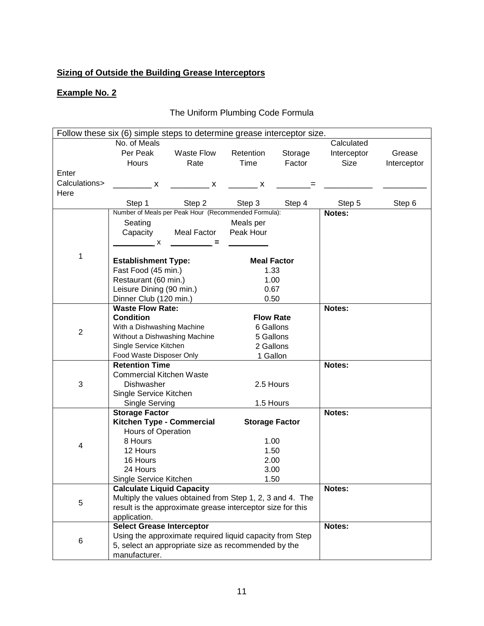# **Sizing of Outside the Building Grease Interceptors**

# **Example No. 2**

# The Uniform Plumbing Code Formula

| Follow these six (6) simple steps to determine grease interceptor size. |                                                            |                            |                            |           |             |             |  |
|-------------------------------------------------------------------------|------------------------------------------------------------|----------------------------|----------------------------|-----------|-------------|-------------|--|
|                                                                         | No. of Meals                                               |                            |                            |           | Calculated  |             |  |
|                                                                         | Per Peak                                                   | Waste Flow                 | Retention                  | Storage   | Interceptor | Grease      |  |
|                                                                         | Hours                                                      | Rate                       | Time                       | Factor    | Size        | Interceptor |  |
| Enter                                                                   |                                                            |                            |                            |           |             |             |  |
| Calculations>                                                           | $\mathsf{X}$                                               | $\overline{\phantom{a}}$ x | $\overline{\phantom{a}}$ x |           |             |             |  |
| Here                                                                    |                                                            |                            |                            |           |             |             |  |
|                                                                         | Step 1                                                     | Step 2                     | Step 3                     | Step 4    | Step 5      | Step 6      |  |
|                                                                         | Number of Meals per Peak Hour (Recommended Formula):       |                            |                            |           | Notes:      |             |  |
|                                                                         | Seating                                                    |                            | Meals per                  |           |             |             |  |
|                                                                         | Capacity                                                   | Meal Factor                | Peak Hour                  |           |             |             |  |
|                                                                         | $\overline{\phantom{a}}$ x                                 |                            |                            |           |             |             |  |
|                                                                         |                                                            |                            |                            |           |             |             |  |
| 1                                                                       | <b>Establishment Type:</b>                                 |                            | <b>Meal Factor</b>         |           |             |             |  |
|                                                                         | Fast Food (45 min.)                                        |                            | 1.33                       |           |             |             |  |
|                                                                         | Restaurant (60 min.)                                       |                            | 1.00                       |           |             |             |  |
|                                                                         | Leisure Dining (90 min.)                                   |                            | 0.67                       |           |             |             |  |
|                                                                         | Dinner Club (120 min.)                                     |                            | 0.50                       |           |             |             |  |
|                                                                         | <b>Waste Flow Rate:</b>                                    |                            |                            |           | Notes:      |             |  |
|                                                                         | <b>Condition</b>                                           |                            | <b>Flow Rate</b>           |           |             |             |  |
| $\overline{2}$                                                          | With a Dishwashing Machine                                 |                            |                            | 6 Gallons |             |             |  |
|                                                                         | Without a Dishwashing Machine                              |                            | 5 Gallons                  |           |             |             |  |
|                                                                         | Single Service Kitchen                                     |                            |                            | 2 Gallons |             |             |  |
| Food Waste Disposer Only                                                |                                                            |                            | 1 Gallon                   |           |             |             |  |
|                                                                         | <b>Retention Time</b>                                      |                            |                            |           | Notes:      |             |  |
|                                                                         | <b>Commercial Kitchen Waste</b>                            |                            |                            |           |             |             |  |
| 3                                                                       | 2.5 Hours<br>Dishwasher                                    |                            |                            |           |             |             |  |
|                                                                         | Single Service Kitchen                                     |                            |                            |           |             |             |  |
|                                                                         | Single Serving                                             |                            | 1.5 Hours                  |           | Notes:      |             |  |
|                                                                         | <b>Storage Factor</b><br>Kitchen Type - Commercial         |                            | <b>Storage Factor</b>      |           |             |             |  |
|                                                                         | Hours of Operation                                         |                            |                            |           |             |             |  |
|                                                                         | 8 Hours                                                    |                            | 1.00                       |           |             |             |  |
| 4                                                                       | 12 Hours                                                   |                            | 1.50                       |           |             |             |  |
|                                                                         | 16 Hours                                                   |                            | 2.00                       |           |             |             |  |
|                                                                         | 24 Hours                                                   |                            | 3.00                       |           |             |             |  |
|                                                                         | Single Service Kitchen                                     |                            | 1.50                       |           |             |             |  |
|                                                                         | <b>Calculate Liquid Capacity</b>                           |                            | Notes:                     |           |             |             |  |
|                                                                         | Multiply the values obtained from Step 1, 2, 3 and 4. The  |                            |                            |           |             |             |  |
| 5                                                                       | result is the approximate grease interceptor size for this |                            |                            |           |             |             |  |
|                                                                         | application.                                               |                            |                            |           |             |             |  |
|                                                                         | <b>Select Grease Interceptor</b>                           |                            |                            |           | Notes:      |             |  |
|                                                                         | Using the approximate required liquid capacity from Step   |                            |                            |           |             |             |  |
| 6                                                                       | 5, select an appropriate size as recommended by the        |                            |                            |           |             |             |  |
|                                                                         | manufacturer.                                              |                            |                            |           |             |             |  |